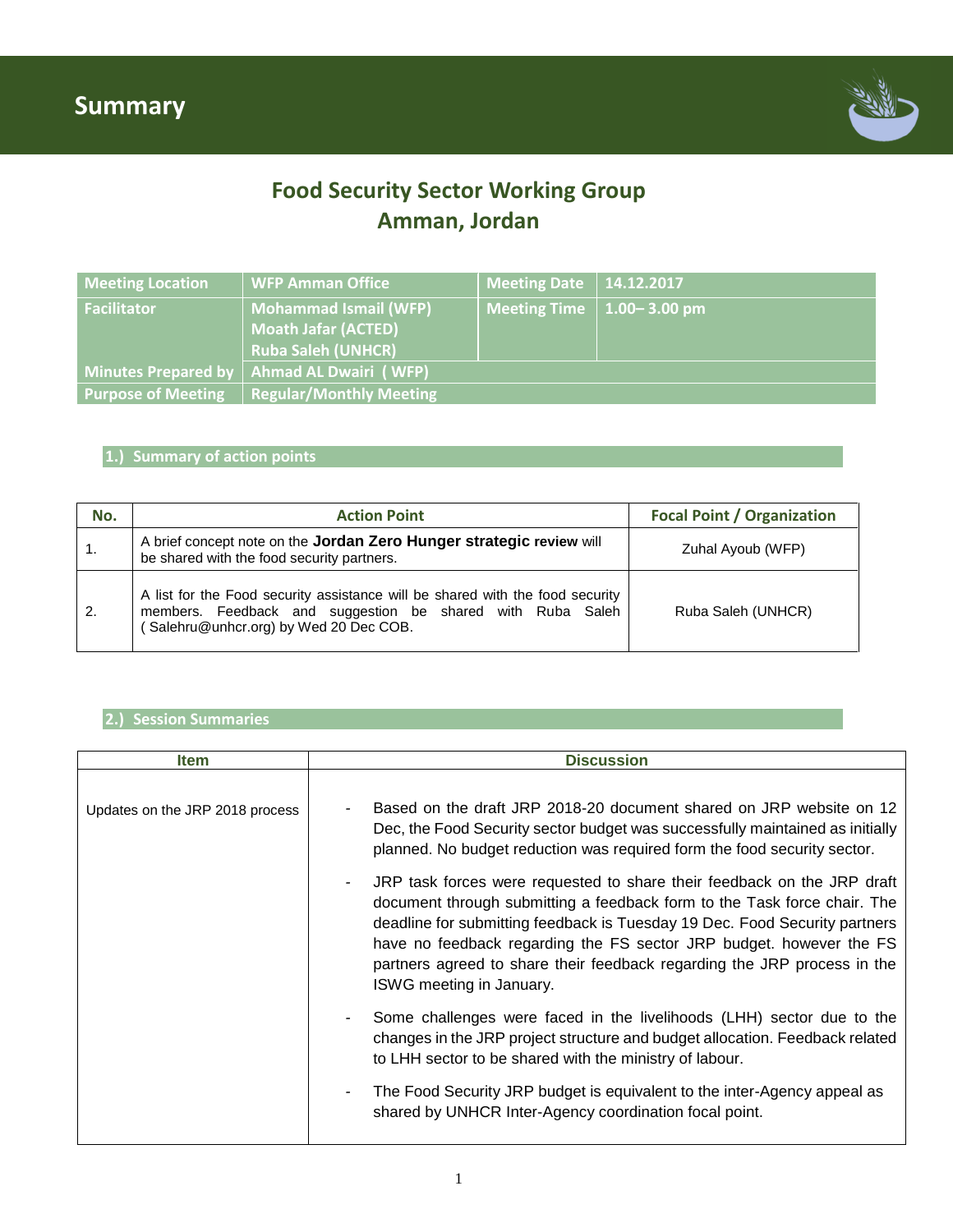

### **Food Security Sector Working Group Amman, Jordan**

| <b>Meeting Location</b>   | <b>WFP Amman Office</b>                                                                 | Meeting Date   $14.12.2017$       |  |
|---------------------------|-----------------------------------------------------------------------------------------|-----------------------------------|--|
| <b>Facilitator</b>        | <b>Mohammad Ismail (WFP)</b><br><b>Moath Jafar (ACTED)</b><br><b>Ruba Saleh (UNHCR)</b> | Meeting Time $\vert$ 1.00–3.00 pm |  |
| Minutes Prepared by       | Ahmad AL Dwairi (WFP)                                                                   |                                   |  |
| <b>Purpose of Meeting</b> | <b>Regular/Monthly Meeting</b>                                                          |                                   |  |

#### **1.) Summary of action points**

| No.              | <b>Action Point</b>                                                                                                                                                                   | <b>Focal Point / Organization</b> |
|------------------|---------------------------------------------------------------------------------------------------------------------------------------------------------------------------------------|-----------------------------------|
| $\overline{1}$ . | A brief concept note on the Jordan Zero Hunger strategic review will<br>be shared with the food security partners.                                                                    | Zuhal Ayoub (WFP)                 |
| $\overline{2}$   | A list for the Food security assistance will be shared with the food security<br>members. Feedback and suggestion be shared with Ruba Saleh<br>(Salehru@unhcr.org) by Wed 20 Dec COB. | Ruba Saleh (UNHCR)                |

#### **2.) Session Summaries**

| <b>Item</b>                     | <b>Discussion</b>                                                                                                                                                                                                                                                                                                                                                                                                |
|---------------------------------|------------------------------------------------------------------------------------------------------------------------------------------------------------------------------------------------------------------------------------------------------------------------------------------------------------------------------------------------------------------------------------------------------------------|
| Updates on the JRP 2018 process | Based on the draft JRP 2018-20 document shared on JRP website on 12<br>Dec, the Food Security sector budget was successfully maintained as initially<br>planned. No budget reduction was required form the food security sector.                                                                                                                                                                                 |
|                                 | JRP task forces were requested to share their feedback on the JRP draft<br>document through submitting a feedback form to the Task force chair. The<br>deadline for submitting feedback is Tuesday 19 Dec. Food Security partners<br>have no feedback regarding the FS sector JRP budget. however the FS<br>partners agreed to share their feedback regarding the JRP process in the<br>ISWG meeting in January. |
|                                 | Some challenges were faced in the livelihoods (LHH) sector due to the<br>changes in the JRP project structure and budget allocation. Feedback related<br>to LHH sector to be shared with the ministry of labour.                                                                                                                                                                                                 |
|                                 | The Food Security JRP budget is equivalent to the inter-Agency appeal as<br>shared by UNHCR Inter-Agency coordination focal point.                                                                                                                                                                                                                                                                               |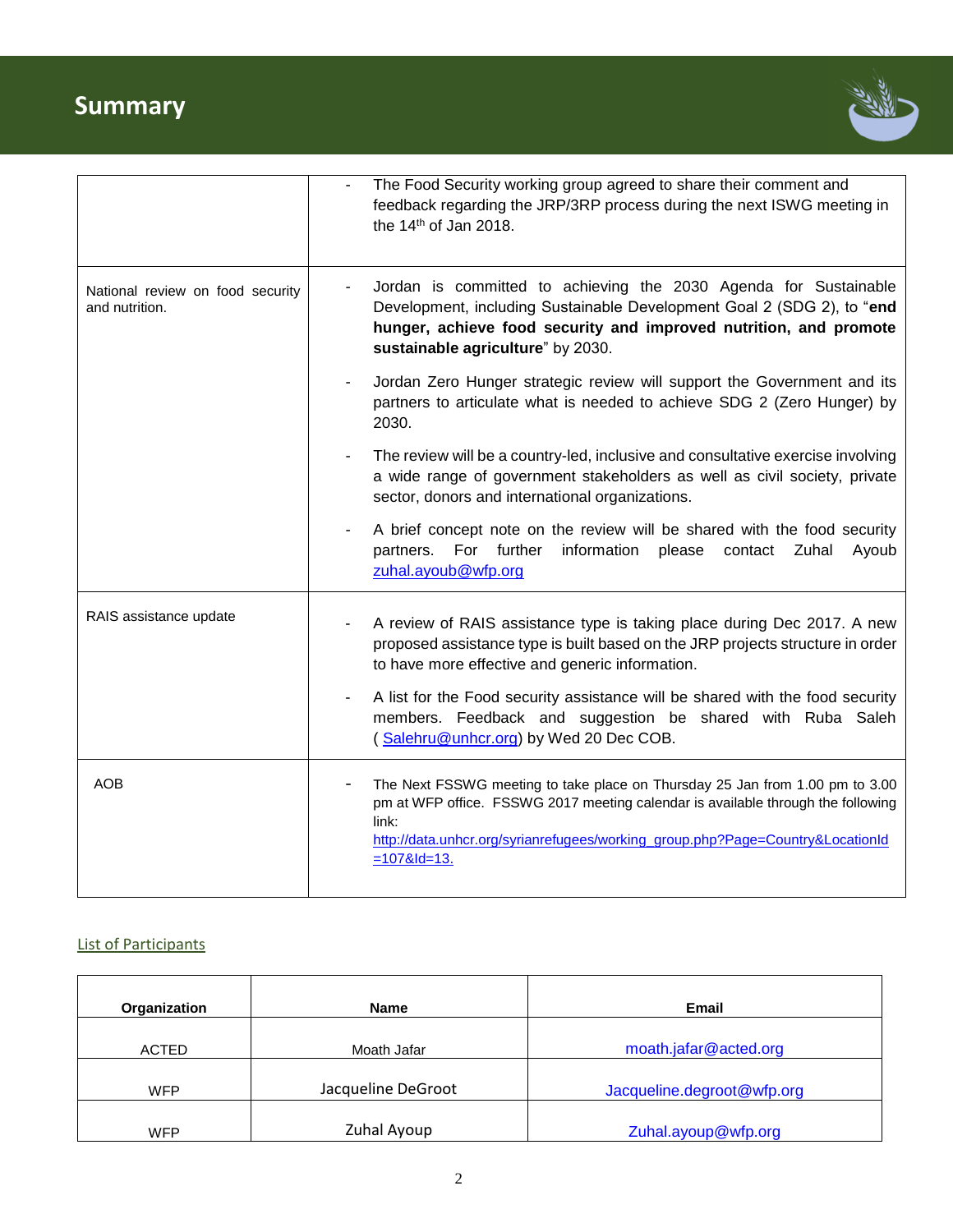# **Summary**



|                                                    | The Food Security working group agreed to share their comment and<br>feedback regarding the JRP/3RP process during the next ISWG meeting in<br>the 14th of Jan 2018.                                                                                                          |
|----------------------------------------------------|-------------------------------------------------------------------------------------------------------------------------------------------------------------------------------------------------------------------------------------------------------------------------------|
| National review on food security<br>and nutrition. | Jordan is committed to achieving the 2030 Agenda for Sustainable<br>Development, including Sustainable Development Goal 2 (SDG 2), to "end<br>hunger, achieve food security and improved nutrition, and promote<br>sustainable agriculture" by 2030.                          |
|                                                    | Jordan Zero Hunger strategic review will support the Government and its<br>partners to articulate what is needed to achieve SDG 2 (Zero Hunger) by<br>2030.                                                                                                                   |
|                                                    | The review will be a country-led, inclusive and consultative exercise involving<br>a wide range of government stakeholders as well as civil society, private<br>sector, donors and international organizations.                                                               |
|                                                    | A brief concept note on the review will be shared with the food security<br>partners. For further<br>information please contact<br>Zuhal<br>Ayoub<br>zuhal.ayoub@wfp.org                                                                                                      |
| RAIS assistance update                             | A review of RAIS assistance type is taking place during Dec 2017. A new<br>proposed assistance type is built based on the JRP projects structure in order<br>to have more effective and generic information.                                                                  |
|                                                    | A list for the Food security assistance will be shared with the food security<br>$\overline{\phantom{a}}$<br>members. Feedback and suggestion be shared with Ruba Saleh<br>(Salehru@unhcr.org) by Wed 20 Dec COB.                                                             |
| <b>AOB</b>                                         | The Next FSSWG meeting to take place on Thursday 25 Jan from 1.00 pm to 3.00<br>pm at WFP office. FSSWG 2017 meeting calendar is available through the following<br>link:<br>http://data.unhcr.org/syrianrefugees/working_group.php?Page=Country&LocationId<br>$=1078$ ld=13. |

### List of Participants

| Organization | <b>Name</b>        | <b>Email</b>               |
|--------------|--------------------|----------------------------|
| <b>ACTED</b> | Moath Jafar        | moath.jafar@acted.org      |
|              |                    |                            |
| <b>WFP</b>   | Jacqueline DeGroot | Jacqueline.degroot@wfp.org |
| <b>WFP</b>   | Zuhal Ayoup        | Zuhal.ayoup@wfp.org        |